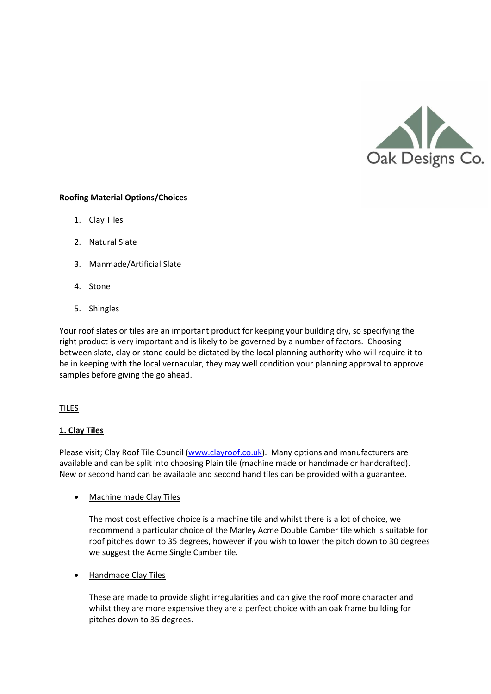

### **Roofing Material Options/Choices**

- 1. Clay Tiles
- 2. Natural Slate
- 3. Manmade/Artificial Slate
- 4. Stone
- 5. Shingles

Your roof slates or tiles are an important product for keeping your building dry, so specifying the right product is very important and is likely to be governed by a number of factors. Choosing between slate, clay or stone could be dictated by the local planning authority who will require it to be in keeping with the local vernacular, they may well condition your planning approval to approve samples before giving the go ahead.

### TILES

### **1. Clay Tiles**

Please visit; Clay Roof Tile Council [\(www.clayroof.co.uk\)](http://www.clayroof.co.uk/). Many options and manufacturers are available and can be split into choosing Plain tile (machine made or handmade or handcrafted). New or second hand can be available and second hand tiles can be provided with a guarantee.

Machine made Clay Tiles

The most cost effective choice is a machine tile and whilst there is a lot of choice, we recommend a particular choice of the Marley Acme Double Camber tile which is suitable for roof pitches down to 35 degrees, however if you wish to lower the pitch down to 30 degrees we suggest the Acme Single Camber tile.

Handmade Clay Tiles

These are made to provide slight irregularities and can give the roof more character and whilst they are more expensive they are a perfect choice with an oak frame building for pitches down to 35 degrees.